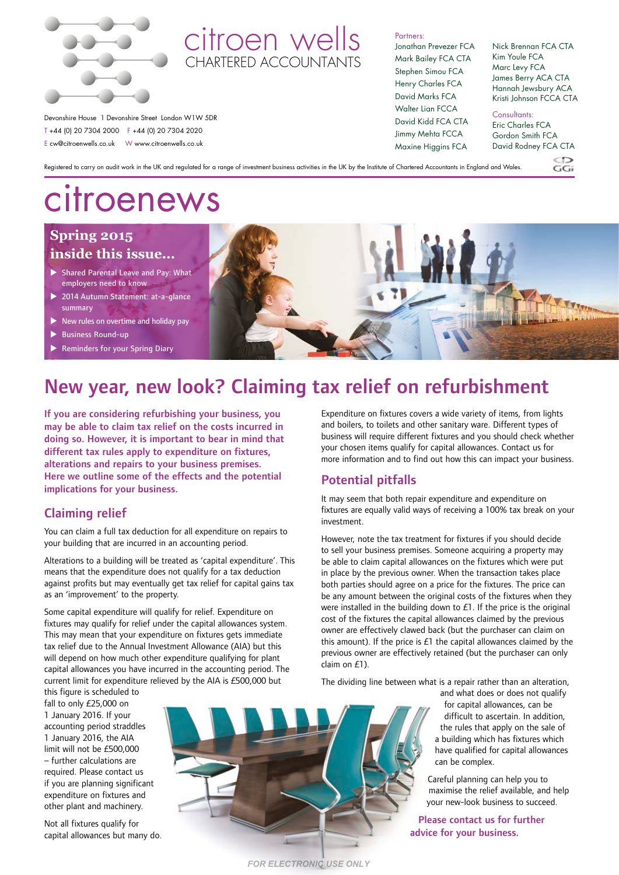

# citroen wells CHARTERED ACCOUNTANT

Partners:

Maxine Higgins FCA

Jonathan Prevezer FCA Mark Bailey FCA CTA Stephen Simou FCA Henry Charles FCA David Marks FCA Walter Lian FCCA David Kidd FCA CTA Jimmy Mehta FCCA Nick Brennan FCA CTA Kim Youle FCA Marc Levy FCA James Berry ACA CTA Hannah Jewsbury ACA Kristi Johnson FCCA CTA Consultants: Eric Charles FCA Gordon Smith FCA

David Rodney FCA CTA

 $\frac{CD}{G}$ 

Devonshire House 1 Devonshire Street London W1W 5DR T +44 (0) 20 7304 2000 F +44 (0) 20 7304 2020 E cw@citroenwells.co.uk W www.citroenwells.co.uk

Registered to carry on audit work in the UK and regulated for a range of investment business activities in the UK by the Institute of Chartered Accountants in England and Wales.

# citroenews

# **Spring 2015 inside this issue...**

- ▶ Shared Parental Leave and Pay: What employers need to know
- 2014 Autumn Statement: at-a-glance summary
- New rules on overtime and holiday pay
- Business Round-up
- Reminders for your Spring Diary

# New year, new look? Claiming tax relief on refurbishment

If you are considering refurbishing your business, you may be able to claim tax relief on the costs incurred in doing so. However, it is important to bear in mind that different tax rules apply to expenditure on fixtures, alterations and repairs to your business premises. Here we outline some of the effects and the potential implications for your business.

# Claiming relief

You can claim a full tax deduction for all expenditure on repairs to your building that are incurred in an accounting period.

Alterations to a building will be treated as 'capital expenditure'. This means that the expenditure does not qualify for a tax deduction against profits but may eventually get tax relief for capital gains tax as an 'improvement' to the property.

Some capital expenditure will qualify for relief. Expenditure on fixtures may qualify for relief under the capital allowances system. This may mean that your expenditure on fixtures gets immediate tax relief due to the Annual Investment Allowance (AIA) but this will depend on how much other expenditure qualifying for plant capital allowances you have incurred in the accounting period. The current limit for expenditure relieved by the AIA is £500,000 but

this figure is scheduled to fall to only £25,000 on 1 January 2016. If your accounting period straddles 1 January 2016, the AIA limit will not be £500,000 – further calculations are required. Please contact us if you are planning significant expenditure on fixtures and other plant and machinery.

Not all fixtures qualify for capital allowances but many do.



*FOR ELECTRONIC USE ONLY*

Expenditure on fixtures covers a wide variety of items, from lights and boilers, to toilets and other sanitary ware. Different types of business will require different fixtures and you should check whether your chosen items qualify for capital allowances. Contact us for more information and to find out how this can impact your business.

### Potential pitfalls

It may seem that both repair expenditure and expenditure on fixtures are equally valid ways of receiving a 100% tax break on your investment.

However, note the tax treatment for fixtures if you should decide to sell your business premises. Someone acquiring a property may be able to claim capital allowances on the fixtures which were put in place by the previous owner. When the transaction takes place both parties should agree on a price for the fixtures. The price can be any amount between the original costs of the fixtures when they were installed in the building down to £1. If the price is the original cost of the fixtures the capital allowances claimed by the previous owner are effectively clawed back (but the purchaser can claim on this amount). If the price is  $£1$  the capital allowances claimed by the previous owner are effectively retained (but the purchaser can only claim on £1).

The dividing line between what is a repair rather than an alteration,

and what does or does not qualify for capital allowances, can be difficult to ascertain. In addition, the rules that apply on the sale of a building which has fixtures which have qualified for capital allowances can be complex.

Careful planning can help you to maximise the relief available, and help your new‑look business to succeed.

Please contact us for further advice for your business.

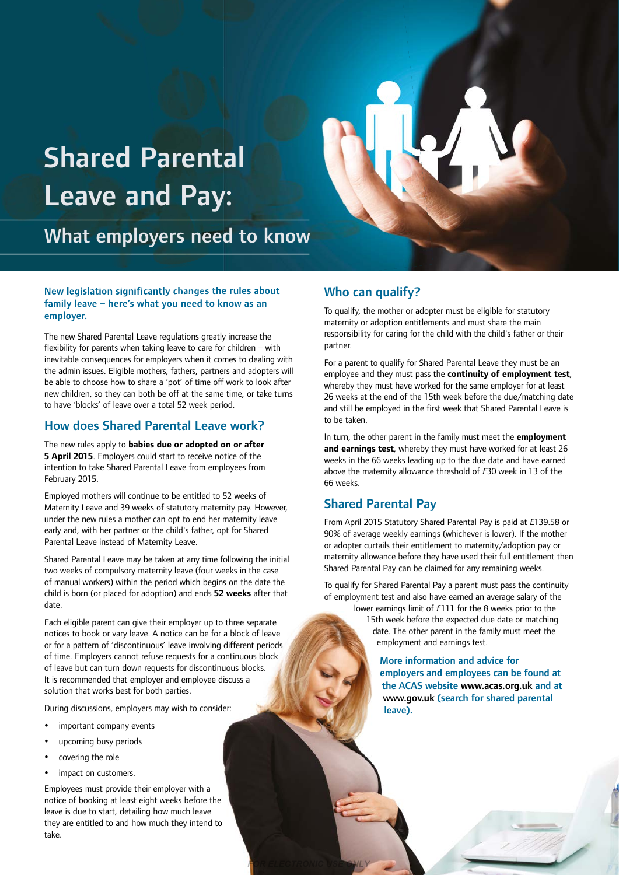# Shared Parental Leave and Pay:

What employers need to know

#### New legislation significantly changes the rules about family leave – here's what you need to know as an employer.

The new Shared Parental Leave regulations greatly increase the flexibility for parents when taking leave to care for children – with inevitable consequences for employers when it comes to dealing with the admin issues. Eligible mothers, fathers, partners and adopters will be able to choose how to share a 'pot' of time off work to look after new children, so they can both be off at the same time, or take turns to have 'blocks' of leave over a total 52 week period.

### How does Shared Parental Leave work?

The new rules apply to **babies due or adopted on or after 5 April 2015**. Employers could start to receive notice of the intention to take Shared Parental Leave from employees from February 2015.

Employed mothers will continue to be entitled to 52 weeks of Maternity Leave and 39 weeks of statutory maternity pay. However, under the new rules a mother can opt to end her maternity leave early and, with her partner or the child's father, opt for Shared Parental Leave instead of Maternity Leave.

Shared Parental Leave may be taken at any time following the initial two weeks of compulsory maternity leave (four weeks in the case of manual workers) within the period which begins on the date the child is born (or placed for adoption) and ends **52 weeks** after that date.

Each eligible parent can give their employer up to three separate notices to book or vary leave. A notice can be for a block of leave or for a pattern of 'discontinuous' leave involving different periods of time. Employers cannot refuse requests for a continuous block of leave but can turn down requests for discontinuous blocks. It is recommended that employer and employee discuss a solution that works best for both parties.

During discussions, employers may wish to consider:

- important company events
- upcoming busy periods
- covering the role
- impact on customers.

Employees must provide their employer with a notice of booking at least eight weeks before the leave is due to start, detailing how much leave they are entitled to and how much they intend to take.

## Who can qualify?

To qualify, the mother or adopter must be eligible for statutory maternity or adoption entitlements and must share the main responsibility for caring for the child with the child's father or their partner.

For a parent to qualify for Shared Parental Leave they must be an employee and they must pass the **continuity of employment test**, whereby they must have worked for the same employer for at least 26 weeks at the end of the 15th week before the due/matching date and still be employed in the first week that Shared Parental Leave is to be taken.

In turn, the other parent in the family must meet the **employment and earnings test**, whereby they must have worked for at least 26 weeks in the 66 weeks leading up to the due date and have earned above the maternity allowance threshold of £30 week in 13 of the 66 weeks.

# Shared Parental Pay

*FOR ELECTRONIC USE ONLY*

From April 2015 Statutory Shared Parental Pay is paid at £139.58 or 90% of average weekly earnings (whichever is lower). If the mother or adopter curtails their entitlement to maternity/adoption pay or maternity allowance before they have used their full entitlement then Shared Parental Pay can be claimed for any remaining weeks.

To qualify for Shared Parental Pay a parent must pass the continuity of employment test and also have earned an average salary of the

lower earnings limit of £111 for the 8 weeks prior to the 15th week before the expected due date or matching date. The other parent in the family must meet the employment and earnings test.

> More information and advice for employers and employees can be found at the ACAS website www.acas.org.uk and at www.gov.uk (search for shared parental leave).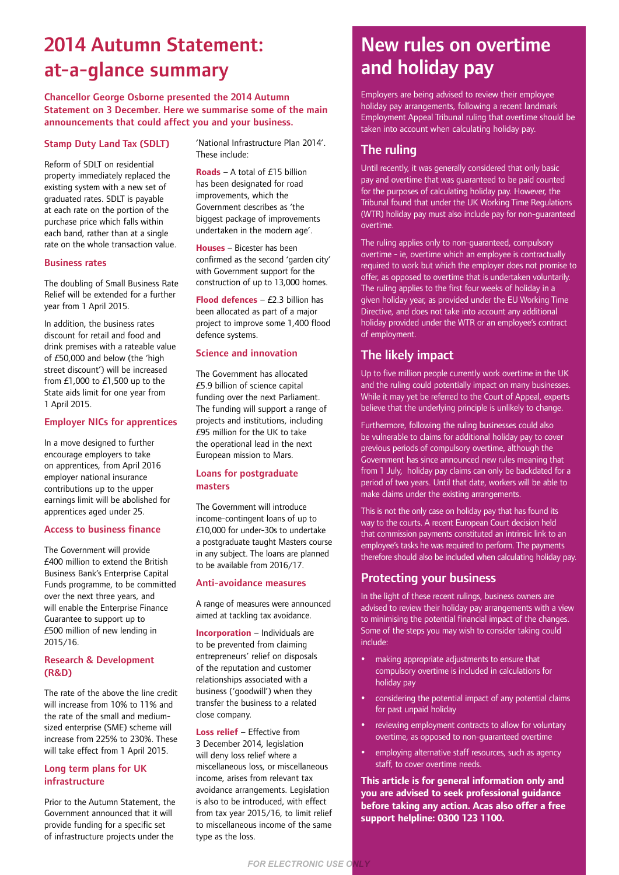# 2014 Autumn Statement: at-a-glance summary

Chancellor George Osborne presented the 2014 Autumn Statement on 3 December. Here we summarise some of the main announcements that could affect you and your business.

#### Stamp Duty Land Tax (SDLT)

Reform of SDLT on residential property immediately replaced the existing system with a new set of graduated rates. SDLT is payable at each rate on the portion of the purchase price which falls within each band, rather than at a single rate on the whole transaction value.

#### Business rates

The doubling of Small Business Rate Relief will be extended for a further year from 1 April 2015.

In addition, the business rates discount for retail and food and drink premises with a rateable value of £50,000 and below (the 'high street discount') will be increased from £1,000 to £1,500 up to the State aids limit for one year from 1 April 2015.

#### Employer NICs for apprentices

In a move designed to further encourage employers to take on apprentices, from April 2016 employer national insurance contributions up to the upper earnings limit will be abolished for apprentices aged under 25.

#### Access to business finance

The Government will provide £400 million to extend the British Business Bank's Enterprise Capital Funds programme, to be committed over the next three years, and will enable the Enterprise Finance Guarantee to support up to £500 million of new lending in 2015/16.

#### Research & Development (R&D)

The rate of the above the line credit will increase from 10% to 11% and the rate of the small and mediumsized enterprise (SME) scheme will increase from 225% to 230%. These will take effect from 1 April 2015.

#### Long term plans for UK infrastructure

Prior to the Autumn Statement, the Government announced that it will provide funding for a specific set of infrastructure projects under the

'National Infrastructure Plan 2014'. These include:

**Roads** – A total of £15 billion has been designated for road improvements, which the Government describes as 'the biggest package of improvements undertaken in the modern age'.

**Houses** – Bicester has been confirmed as the second 'garden city' with Government support for the construction of up to 13,000 homes.

**Flood defences** – £2.3 billion has been allocated as part of a major project to improve some 1,400 flood defence systems.

#### Science and innovation

The Government has allocated £5.9 billion of science capital funding over the next Parliament. The funding will support a range of projects and institutions, including £95 million for the UK to take the operational lead in the next European mission to Mars.

#### Loans for postgraduate masters

The Government will introduce income-contingent loans of up to £10,000 for under-30s to undertake a postgraduate taught Masters course in any subject. The loans are planned to be available from 2016/17.

#### Anti-avoidance measures

A range of measures were announced aimed at tackling tax avoidance.

**Incorporation** – Individuals are to be prevented from claiming entrepreneurs' relief on disposals of the reputation and customer relationships associated with a business ('goodwill') when they transfer the business to a related close company.

**Loss relief** – Effective from 3 December 2014, legislation will deny loss relief where a miscellaneous loss, or miscellaneous income, arises from relevant tax avoidance arrangements. Legislation is also to be introduced, with effect from tax year 2015/16, to limit relief to miscellaneous income of the same type as the loss.

*FOR ELECTRONIC USE ONLY*

# New rules on overtime and holiday pay

Employers are being advised to review their employee holiday pay arrangements, following a recent landmark Employment Appeal Tribunal ruling that overtime should be taken into account when calculating holiday pay.

### The ruling

Until recently, it was generally considered that only basic pay and overtime that was guaranteed to be paid counted for the purposes of calculating holiday pay. However, the Tribunal found that under the UK Working Time Regulations (WTR) holiday pay must also include pay for non-guaranteed overtime.

The ruling applies only to non-guaranteed, compulsory overtime - ie, overtime which an employee is contractually required to work but which the employer does not promise to offer, as opposed to overtime that is undertaken voluntarily. The ruling applies to the first four weeks of holiday in a given holiday year, as provided under the EU Working Time Directive, and does not take into account any additional holiday provided under the WTR or an employee's contract of employment.

### The likely impact

Up to five million people currently work overtime in the UK and the ruling could potentially impact on many businesses. While it may yet be referred to the Court of Appeal, experts believe that the underlying principle is unlikely to change.

Furthermore, following the ruling businesses could also be vulnerable to claims for additional holiday pay to cover previous periods of compulsory overtime, although the Government has since announced new rules meaning that from 1 July, holiday pay claims can only be backdated for a period of two years. Until that date, workers will be able to make claims under the existing arrangements.

This is not the only case on holiday pay that has found its way to the courts. A recent European Court decision held that commission payments constituted an intrinsic link to an employee's tasks he was required to perform. The payments therefore should also be included when calculating holiday pay.

### Protecting your business

In the light of these recent rulings, business owners are advised to review their holiday pay arrangements with a view to minimising the potential financial impact of the changes. Some of the steps you may wish to consider taking could include:

- making appropriate adjustments to ensure that compulsory overtime is included in calculations for holiday pay
- considering the potential impact of any potential claims for past unpaid holiday
- reviewing employment contracts to allow for voluntary overtime, as opposed to non-guaranteed overtime
- employing alternative staff resources, such as agency staff, to cover overtime needs.

**This article is for general information only and you are advised to seek professional guidance before taking any action. Acas also offer a free support helpline: 0300 123 1100.**